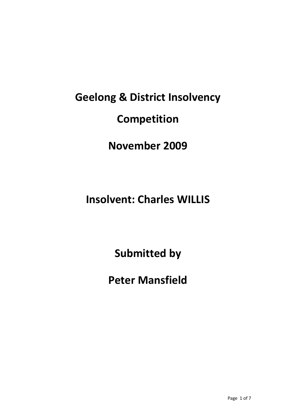# **Geelong & District Insolvency Competition**

## **November 2009**

# **Insolvent: Charles WILLIS**

**Submitted by**

**Peter Mansfield**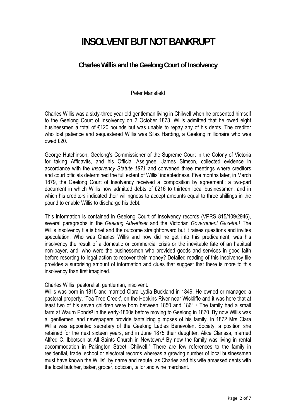### **INSOLVENT BUT NOT BANKRUPT**

#### **Charles Willis and the Geelong Court of Insolvency**

#### Peter Mansfield

Charles Willis was a sixty-three year old gentleman living in Chilwell when he presented himself to the Geelong Court of Insolvency on 2 October 1878. Willis admitted that he owed eight businessmen a total of £120 pounds but was unable to repay any of his debts. The creditor who lost patience and sequestered Willis was Silas Harding, a Geelong millionaire who was owed ₤20.

George Hutchinson, Geelong's Commissioner of the Supreme Court in the Colony of Victoria for taking Affidavits, and his Official Assignee, James Simson, collected evidence in accordance with the *Insolvency Statute 1871* and convened three meetings where creditors and court officials determined the full extent of Willis' indebtedness. Five months later, in March 1879, the Geelong Court of Insolvency received a 'composition by agreement': a two-part document in which Willis now admitted debts of ₤216 to thirteen local businessmen, and in which his creditors indicated their willingness to accept amounts equal to three shillings in the pound to enable Willis to discharge his debt.

This information is contained in Geelong Court of Insolvency records (VPRS 815/109/2946), several paragraphs in the *Geelong Advertiser* and the Victorian *Government Gazette.*1 The Willis insolvency file is brief and the outcome straightforward but it raises questions and invites speculation. Who was Charles Willis and how did he get into this predicament, was his insolvency the result of a domestic or commercial crisis or the inevitable fate of an habitual non-payer, and, who were the businessmen who provided goods and services in good faith before resorting to legal action to recover their money? Detailed reading of this insolvency file provides a surprising amount of information and clues that suggest that there is more to this insolvency than first imagined.

#### Charles Willis: pastoralist, gentleman, insolvent.

Willis was born in 1815 and married Clara Lydia Buckland in 1849. He owned or managed a pastoral property, 'Tea Tree Creek', on the Hopkins River near Wickliffe and it was here that at least two of his seven children were born between 1850 and 1861.2 The family had a small farm at Waurn Ponds<sup>3</sup> in the early-1860s before moving to Geelong in 1870. By now Willis was a 'gentlemen' and newspapers provide tantalizing glimpses of his family. In 1872 Mrs Clara Willis was appointed secretary of the Geelong Ladies Benevolent Society; a position she retained for the next sixteen years, and in June 1875 their daughter, Alice Clarissa, married Alfred C. Ibbotson at All Saints Church in Newtown.4 By now the family was living in rental accommodation in Pakington Street, Chilwell.<sup>5</sup> There are few references to the family in residential, trade, school or electoral records whereas a growing number of local businessmen must have known the Willis', by name and repute, as Charles and his wife amassed debts with the local butcher, baker, grocer, optician, tailor and wine merchant.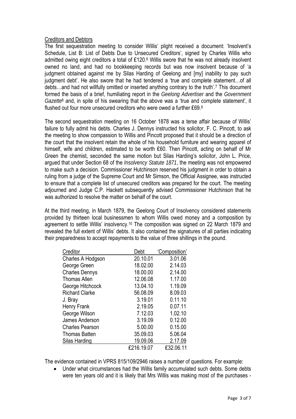#### Creditors and Debtors

The first sequestration meeting to consider Willis' plight received a document: 'Insolvent's Schedule, List B: List of Debts Due to Unsecured Creditors', signed by Charles Willis who admitted owing eight creditors a total of £120.6 Willis swore that he was not already insolvent owned no land, and had no bookkeeping records but was now insolvent because of 'a judgment obtained against me by Silas Harding of Geelong and [my] inability to pay such judgment debt'. He also swore that he had tendered a 'true and complete statement…of all debts…and had not willfully omitted or inserted anything contrary to the truth'.7 This document formed the basis of a brief, humiliating report in the *Geelong Advertiser* and the *Government Gazette*8 and, in spite of his swearing that the above was a 'true and complete statement', it flushed out four more unsecured creditors who were owed a further ₤69.9

The second sequestration meeting on 16 October 1878 was a terse affair because of Willis' failure to fully admit his debts. Charles J. Dennys instructed his solicitor, F. C. Pincott, to ask the meeting to show compassion to Willis and Pincott proposed that it should be a direction of the court that the insolvent retain the whole of his household furniture and wearing apparel of himself, wife and children, estimated to be worth ₤60. Then Pincott, acting on behalf of Mr Green the chemist, seconded the same motion but Silas Harding's solicitor, John L. Price, argued that under Section 68 of the *Insolvency Statute 1871*, the meeting was not empowered to make such a decision. Commissioner Hutchinson reserved his judgment in order to obtain a ruling from a judge of the Supreme Court and Mr Simson, the Official Assignee, was instructed to ensure that a complete list of unsecured creditors was prepared for the court. The meeting adjourned and Judge C.P. Hackett subsequently advised Commissioner Hutchinson that he was authorized to resolve the matter on behalf of the court.

At the third meeting, in March 1879, the Geelong Court of Insolvency considered statements provided by thirteen local businessmen to whom Willis owed money and a composition by agreement to settle Willis' insolvency.10 The composition was signed on 22 March 1879 and revealed the full extent of Willis' debts. It also contained the signatures of all parties indicating their preparedness to accept repayments to the value of three shillings in the pound.

| Creditor               | Debt       | 'Composition' |
|------------------------|------------|---------------|
| Charles A Hodgson      | 20.10.01   | 3.01.06       |
| George Green           | 18.02.00   | 2.14.03       |
| <b>Charles Dennys</b>  | 18.00.00   | 2.14.00       |
| <b>Thomas Allen</b>    | 12.06.08   | 1.17.00       |
| George Hitchcock       | 13.04.10   | 1.19.09       |
| <b>Richard Clarke</b>  | 56.08.09   | 8.09.03       |
| J. Bray                | 3.19.01    | 0.11.10       |
| Henry Frank            | 2.19.05    | 0.07.11       |
| George Wilson          | 7.12.03    | 1.02.10       |
| James Anderson         | 3.19.09    | 0.12.00       |
| <b>Charles Pearson</b> | 5.00.00    | 0.15.00       |
| <b>Thomas Batten</b>   | 35.09.03   | 5.06.04       |
| Silas Harding          | 19.09.06   | 2.17.09       |
|                        | £216.19.07 | £32.06.11     |

The evidence contained in VPRS 815/109/2946 raises a number of questions. For example:

Under what circumstances had the Willis family accumulated such debts. Some debts were ten years old and it is likely that Mrs Willis was making most of the purchases -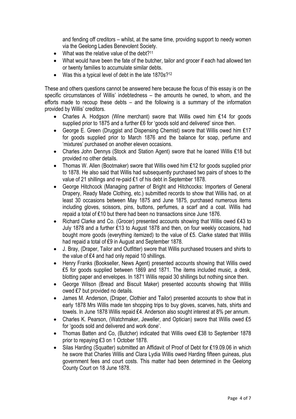and fending off creditors – whilst, at the same time, providing support to needy women via the Geelong Ladies Benevolent Society.

- What was the relative value of the debt?<sup>11</sup>
- What would have been the fate of the butcher, tailor and grocer if each had allowed ten or twenty families to accumulate similar debts.
- Was this a typical level of debt in the late 1870s?<sup>12</sup>

These and others questions cannot be answered here because the focus of this essay is on the specific circumstances of Willis' indebtedness – the amounts he owned, to whom, and the efforts made to recoup these debts – and the following is a summary of the information provided by Willis' creditors.

- Charles A. Hodgson (Wine merchant) swore that Willis owed him ₤14 for goods supplied prior to 1875 and a further £6 for 'goods sold and delivered' since then.
- George E. Green (Druggist and Dispensing Chemist) swore that Willis owed him ₤17 for goods supplied prior to March 1876 and the balance for soap, perfume and 'mixtures' purchased on another eleven occasions.
- Charles John Dennys (Stock and Station Agent) swore that he loaned Willis ₤18 but provided no other details.
- Thomas W. Allen (Bootmaker) swore that Willis owed him ₤12 for goods supplied prior to 1878. He also said that Willis had subsequently purchased two pairs of shoes to the value of 21 shillings and re-paid £1 of his debt in September 1878.
- George Hitchcock (Managing partner of Bright and Hitchcocks: Importers of General Drapery, Ready Made Clothing, etc.) submitted records to show that Willis had, on at least 30 occasions between May 1875 and June 1875, purchased numerous items including gloves, scissors, pins, buttons, perfumes, a scarf and a coat. Willis had repaid a total of £10 but there had been no transactions since June 1876.
- Richard Clarke and Co. (Grocer) presented accounts showing that Willis owed ₤43 to July 1878 and a further ₤13 to August 1878 and then, on four weekly occasions, had bought more goods (everything itemized) to the value of ₤5. Clarke stated that Willis had repaid a total of £9 in August and September 1878.
- J. Bray, (Draper, Tailor and Outfitter) swore that Willis purchased trousers and shirts to the value of £4 and had only repaid 10 shillings.
- Henry Franks (Bookseller, News Agent) presented accounts showing that Willis owed £5 for goods supplied between 1869 and 1871. The items included music, a desk, blotting paper and envelopes. In 1871 Willis repaid 30 shillings but nothing since then.
- George Wilson (Bread and Biscuit Maker) presented accounts showing that Willis owed ₤7 but provided no details.
- James M. Anderson, (Draper, Clothier and Tailor) presented accounts to show that in early 1878 Mrs Willis made ten shopping trips to buy gloves, scarves, hats, shirts and towels. In June 1878 Willis repaid £4. Anderson also sought interest at 8% per annum.
- Charles K. Pearson, (Watchmaker, Jeweller, and Optician) swore that Willis owed ₤5 for 'goods sold and delivered and work done'.
- Thomas Batten and Co, (Butcher) indicated that Willis owed ₤38 to September 1878 prior to repaying ₤3 on 1 October 1878.
- Silas Harding (Squatter) submitted an Affidavit of Proof of Debt for ₤19.09.06 in which he swore that Charles Willis and Clara Lydia Willis owed Harding fifteen guineas, plus government fees and court costs. This matter had been determined in the Geelong County Court on 18 June 1878.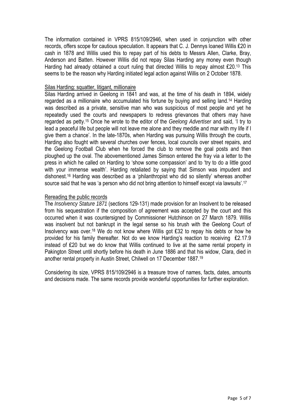The information contained in VPRS 815/109/2946, when used in conjunction with other records, offers scope for cautious speculation. It appears that C. J. Dennys loaned Willis ₤20 in cash in 1878 and Willis used this to repay part of his debts to Messrs Allen, Clarke, Bray, Anderson and Batten. However Willis did not repay Silas Harding any money even though Harding had already obtained a court ruling that directed Willis to repay almost £20.13 This seems to be the reason why Harding initiated legal action against Willis on 2 October 1878.

#### Silas Harding: squatter, litigant, millionaire

Silas Harding arrived in Geelong in 1841 and was, at the time of his death in 1894, widely regarded as a millionaire who accumulated his fortune by buying and selling land.14 Harding was described as a private, sensitive man who was suspicious of most people and yet he repeatedly used the courts and newspapers to redress grievances that others may have regarded as petty.15 Once he wrote to the editor of the *Geelong Advertiser* and said, 'I try to lead a peaceful life but people will not leave me alone and they meddle and mar with my life if I give them a chance'. In the late-1870s, when Harding was pursuing Willis through the courts, Harding also fought with several churches over fences, local councils over street repairs, and the Geelong Football Club when he forced the club to remove the goal posts and then ploughed up the oval. The abovementioned James Simson entered the fray via a letter to the press in which he called on Harding to 'show some compassion' and to 'try to do a little good with your immense wealth'. Harding retaliated by saying that Simson was impudent and dishonest.16 Harding was described as a 'philanthropist who did so silently' whereas another source said that he was 'a person who did not bring attention to himself except via lawsuits'.<sup>17</sup>

#### Rereading the public records

The *Insolvency Stature 1871* (sections 129-131) made provision for an Insolvent to be released from his sequestration if the composition of agreement was accepted by the court and this occurred when it was countersigned by Commissioner Hutchinson on 27 March 1879. Willis was insolvent but not bankrupt in the legal sense so his brush with the Geelong Court of Insolvency was over.18 We do not know where Willis got ₤32 to repay his debts or how he provided for his family thereafter. Not do we know Harding's reaction to receiving £2.17.9 instead of ₤20 but we do know that Willis continued to live at the same rental property in Pakington Street until shortly before his death in June 1886 and that his widow, Clara, died in another rental property in Austin Street, Chilwell on 17 December 1887.19

Considering its size, VPRS 815/109/2946 is a treasure trove of names, facts, dates, amounts and decisions made. The same records provide wonderful opportunities for further exploration.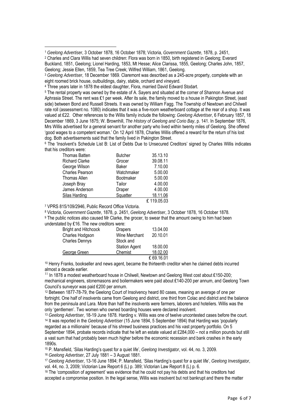2 Charles and Clara Willis had seven children: Flora was born in 1850, birth registered in Geelong; Everard Buckland, 1851, Geelong; Lionel Harding, 1853, Mt Hesse; Alice Clarissa, 1855, Geelong; Charles John, 1857, Geelong; Jessie Ellen, 1859, Tea Tree Creek; Wilfred William, 1861, Geelong.

5 The rental property was owned by the estate of A. Sayers and situated at the corner of Shannon Avenue and Aphrasia Street. The rent was £1 per week. After its sale, the family moved to a house in Pakington Street, (east side) between Bond and Russell Streets. It was owned by William Fagg. The Township of Newtown and Chilwell rate roll (assessment no. 1080) indicates that it was a five-room weatherboard cottage at the rear of a shop. It was valued at ₤22. Other references to the Willis family include the following: *Geelong Advertiser*, 6 February 1857, 18 December 1869, 3 June 1875; W. Brownhill, *The History of Geelong and Corio Bay*, p. 141. In September 1876, Mrs Willis advertised for a general servant for another party who lived within twenty miles of Geelong. She offered 'good wages to a competent woman.' On 12 April 1878, Charles Willis offered a reward for the return of his lost dog. Both advertisements said that the family lived in Pakington Street.

6 The 'Insolvent's Schedule List B: List of Debts Due to Unsecured Creditors' signed by Charles Willis indicates that his creditors were:

| <b>Thomas Batten</b>  | <b>Butcher</b> | 35.13.10    |
|-----------------------|----------------|-------------|
| <b>Richard Clarke</b> | Grocer         | 39.08.11    |
| George Wilson         | Baker          | 7.10.00     |
| Charles Pearson       | Watchmaker     | 5.00.00     |
| Thomas Allen          | Bootmaker      | 5.00.00     |
| Joseph Bray           | Tailor         | 4.00.00     |
| James Anderson        | Draper         | 4.00.00     |
| Silas Harding         | Squatter       | 18.11.06    |
|                       |                | ₤ 119.05.03 |

7 VPRS 815/109/2946, Public Record Office Victoria.

1

8 Victoria, *Government Gazette*, 1878, p. 2451, *Geelong Advertiser*, 3 October 1878, 16 October 1878.

9 The public notices also caused Mr Clarke, the grocer, to swear that the amount owing to him had been understated by £16. The new creditors were:

| ando statou by 210. The now creditors word. |                      |           |
|---------------------------------------------|----------------------|-----------|
| Bright and Hitchcock                        | <b>Drapers</b>       | 13.04.00  |
| Charles Hodgson                             | Wine Merchant        | 20.10.01  |
| <b>Charles Dennys</b>                       | Stock and            |           |
|                                             | <b>Station Agent</b> | 18.00.00  |
| George Green                                | Chemist              | 18.02.00  |
|                                             |                      | £69.16.01 |

10 Henry Franks, bookseller and news agent, became the thirteenth creditor when he claimed debts incurred almost a decade earlier.

<sup>11</sup> In 1878 a modest weatherboard house in Chilwell, Newtown and Geelong West cost about £150-200; mechanical engineers, stonemasons and boilermakers were paid about ₤140-200 per annum, and Geelong Town Council's surveyor was paid ₤200 per annum.

12 Between 1877-78-79, the Geelong Court of Insolvency heard 80 cases, meaning an average of one per fortnight. One half of insolvents came from Geelong and district, one third from Colac and district and the balance from the peninsula and Lara. More than half the insolvents were farmers, laborers and hoteliers. Willis was the only 'gentlemen'. Two women who owned boarding houses were declared insolvent.

<sup>13</sup> *Geelong Advertiser*, 18-19 June 1878. Harding v. Willis was one of twelve uncontested cases before the court. 14 It was reported in the *Geelong Advertiser* (15 June 1894, 5 September 1894) that Harding was 'popularly regarded as a millionaire' because of his shrewd business practices and his vast property portfolio. On 5 September 1894, probate records indicate that he left an estate valued at £284,000 – not a million pounds but still a vast sum that had probably been much higher before the economic recession and bank crashes in the early 1890s.

15 P. Mansfield, 'Silas Harding's quest for a quiet life', *Geelong Investigator*, vol. 44, no. 3, 2009.

<sup>16</sup> *Geelong Advertiser*, 27 July 1881 – 3 August 1881.

<sup>17</sup> *Geelong Advertiser*, 13-16 June 1894; P. Mansfield, 'Silas Harding's quest for a quiet life', *Geelong Investigator*, vol. 44, no. 3, 2009; Victorian Law Report 6 (L) p. 389; Victorian Law Report 8 (L) p. 6.

<sup>18</sup> The 'composition of agreement' was evidence that he could not pay his debts and that his creditors had accepted a compromise position. In the legal sense, Willis was insolvent but not bankrupt and there the matter

<sup>1</sup> *Geelong Advertiser*, 3 October 1878, 16 October 1878; Victoria, *Government Gazette*, 1878, p. 2451,

<sup>3</sup> *Geelong Advertiser*, 18 December 1869. Claremont was described as a 245-acre property, complete with an eight roomed brick house, outbuildings, dairy, stable, orchard and vineyard.

<sup>4</sup> Three years later in 1878 the eldest daughter, Flora, married David Edward Stodart.